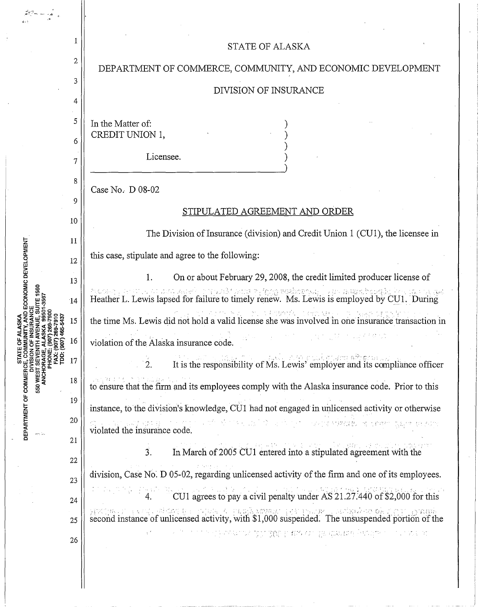|                                  | 1        | <b>STATE OF ALASKA</b>                                                                                                                                                                                                   |
|----------------------------------|----------|--------------------------------------------------------------------------------------------------------------------------------------------------------------------------------------------------------------------------|
|                                  | 2        | DEPARTMENT OF COMMERCE, COMMUNITY, AND ECONOMIC DEVELOPMENT                                                                                                                                                              |
|                                  | 3        | DIVISION OF INSURANCE                                                                                                                                                                                                    |
|                                  | 4        |                                                                                                                                                                                                                          |
|                                  | 5        | In the Matter of:                                                                                                                                                                                                        |
|                                  | 6        | CREDIT UNION 1,                                                                                                                                                                                                          |
|                                  | 7        | Licensee.                                                                                                                                                                                                                |
|                                  | 8        | Case No. D 08-02                                                                                                                                                                                                         |
|                                  | 9        | STIPULATED AGREEMENT AND ORDER                                                                                                                                                                                           |
|                                  | 10       | The Division of Insurance (division) and Credit Union 1 (CU1), the licensee in                                                                                                                                           |
|                                  | 11       | this case, stipulate and agree to the following:                                                                                                                                                                         |
| <b>CONOMIC DEVELOPMENT</b>       | 12       | On or about February 29, 2008, the credit limited producer license of<br>1.                                                                                                                                              |
|                                  | 13<br>14 | Heather L. Lewis lapsed for failure to timely renew. Ms. Lewis is employed by CU1. During                                                                                                                                |
|                                  | 15       | the time Ms. Lewis did not hold a valid license she was involved in one insurance transaction in                                                                                                                         |
|                                  | .6       | violation of the Alaska insurance code.                                                                                                                                                                                  |
|                                  | 17       | It is the responsibility of Ms. Lewis' employer and its compliance officer<br>$\sim 2$ .                                                                                                                                 |
| <b>ANCH</b>                      | 18       | to ensure that the firm and its employees comply with the Alaska insurance code. Prior to this                                                                                                                           |
| 550                              | 19       |                                                                                                                                                                                                                          |
| DEPARTMENT OF COMMERC<br>erri bu | 20       | instance, to the division's knowledge, CU1 had not engaged in unlicensed activity or otherwise<br>a no ng nagsas politik gitin na bilang ng Paling ng Bornes ng <mark>pangangayo</mark> ng <del>tera</del> nggang at pan |
|                                  | 21       | violated the insurance code.<br>In March of 2005 CU1 entered into a stipulated agreement with the                                                                                                                        |
|                                  | 22       | $\overline{3}$ .                                                                                                                                                                                                         |
|                                  | 23       | division, Case No. D 05-02, regarding unlicensed activity of the firm and one of its employees.                                                                                                                          |
|                                  | 24       | CU1 agrees to pay a civil penalty under AS 21.27.440 of \$2,000 for this<br>(1874) 网络多里 (1918) 6 把电视网络电路 (38 PLIK ) 网络拉克罗克 (30 F) ACAR                                                                                   |
|                                  | 25       | second instance of unlicensed activity, with \$1,000 suspended. The unsuspended portion of the                                                                                                                           |
|                                  | 26       | in and the special internal management of the special control of the second control of the second second second                                                                                                          |
|                                  |          |                                                                                                                                                                                                                          |
|                                  |          |                                                                                                                                                                                                                          |

 $\hat{\boldsymbol{\gamma}}$ 

 $\sim$ 

 $\label{eq:3.1} \frac{1}{2} \sum_{i=1}^n \frac{1}{2} \sum_{i=1}^n \frac{1}{2} \sum_{i=1}^n \frac{1}{2} \sum_{i=1}^n \frac{1}{2} \sum_{i=1}^n \frac{1}{2} \sum_{i=1}^n \frac{1}{2} \sum_{i=1}^n \frac{1}{2} \sum_{i=1}^n \frac{1}{2} \sum_{i=1}^n \frac{1}{2} \sum_{i=1}^n \frac{1}{2} \sum_{i=1}^n \frac{1}{2} \sum_{i=1}^n \frac{1}{2} \sum_{i=1}^n \frac{$ 

 $\sim$ 

 $\bar{z}$ 

 $\frac{1}{2}$  . The same

 $\frac{1}{2}$ 

 $\hat{\boldsymbol{\beta}}$ 

 $\ddot{\phantom{0}}$  $\frac{1}{\sqrt{2}}$ 

 $\mu_{\rm{max}}$  and

 $\frac{1}{2}$ 

 $\hat{\mathcal{L}}$ 

 $\overline{\phantom{a}}$ 

 $\frac{1}{2}$ 

 $\bar{\mathcal{A}}$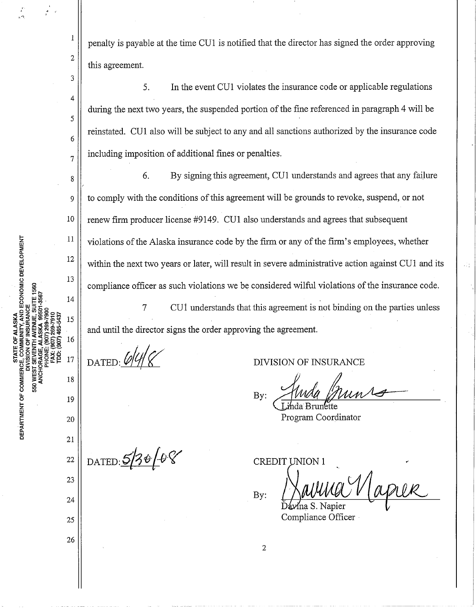penalty is payable at the time CUI is notified that the director has signed the order approving this agreement.

5. In the event CUI violates the insurance code or applicable regulations during the next two years, the suspended portion of the fine referenced in paragraph 4 will be reinstated. CUI also will be subject to any and all sanctions authorized by the insurance code  $7 \parallel$  including imposition of additional fines or penalties.

 $8 \parallel$  6. By signing this agreement, CU1 understands and agrees that any failure <sup>9</sup> to comply with the conditions ofthis agreement will be grounds to revoke, suspend, or not 10 **renew firm producer license #9149.** CU1 also understands and agrees that subsequent violations of the Alaska insurance code by the firm or any of the firm's employees, whether compliance officer as such violations we be considered wilful violations of the insurance code. within the next two years or later, will result in severe administrative action against CUI and its

and until the director signs the order approving the agreement. 7 CUi understands that this agreement is not binding on the parties unless

DATED:  $6/4$ 

DATED:  $5/30/08$ 

., .,

2

 $\mathbf{I}% _{t}\left| \mathbf{I}_{t}\right| =\mathbf{I}_{t}\left| \mathbf{I}_{t}\right|$ 

3

4

5

6

11

12

13

14

15

16

17

18

19

20

21

22

23

24

25

26

ND ECONOMIC DEVELOPMENT

DEPARTMENT OF COMMERO

**IM 025** 

DIVISION OF INSURANCE

SION OF INSURANCE By:

Program Coordinator

By: **CREDIT UNION 1** 

2